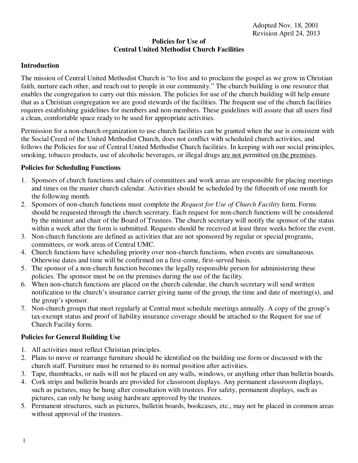## **Policies for Use of Central United Methodist Church Facilities**

## **Introduction**

The mission of Central United Methodist Church is "to live and to proclaim the gospel as we grow in Christian faith, nurture each other, and reach out to people in our community." The church building is one resource that enables the congregation to carry out this mission. The policies for use of the church building will help ensure that as a Christian congregation we are good stewards of the facilities. The frequent use of the church facilities requires establishing guidelines for members and non-members. These guidelines will assure that all users find a clean, comfortable space ready to be used for appropriate activities.

Permission for a non-church organization to use church facilities can be granted when the use is consistent with the Social Creed of the United Methodist Church, does not conflict with scheduled church activities, and follows the Policies for use of Central United Methodist Church facilities. In keeping with our social principles, smoking, tobacco products, use of alcoholic beverages, or illegal drugs are not permitted on the premises.

#### **Policies for Scheduling Functions**

- 1. Sponsors of church functions and chairs of committees and work areas are responsible for placing meetings and times on the master church calendar. Activities should be scheduled by the fifteenth of one month for the following month.
- 2. Sponsors of non-church functions must complete the *Request for Use of Church Facility* form. Forms should be requested through the church secretary. Each request for non-church functions will be considered by the minister and chair of the Board of Trustees. The church secretary will notify the sponsor of the status within a week after the form is submitted. Requests should be received at least three weeks before the event.
- 3. Non-church functions are defined as activities that are not sponsored by regular or special programs, committees, or work areas of Central UMC.
- 4. Church functions have scheduling priority over non-church functions, when events are simultaneous. Otherwise dates and time will be confirmed on a first-come, first-served basis.
- 5. The sponsor of a non-church function becomes the legally responsible person for administering these policies. The sponsor must be on the premises during the use of the facility.
- 6. When non-church functions are placed on the church calendar, the church secretary will send written notification to the church's insurance carrier giving name of the group, the time and date of meeting(s), and the group's sponsor.
- 7. Non-church groups that meet regularly at Central must schedule meetings annually. A copy of the group's tax-exempt status and proof of liability insurance coverage should be attached to the Request for use of Church Facility form.

## **Policies for General Building Use**

- 1. All activities must reflect Christian principles.
- 2. Plans to move or rearrange furniture should be identified on the building use form or discussed with the church staff. Furniture must be returned to its normal position after activities.
- 3. Tape, thumbtacks, or nails will not be placed on any walls, windows, or anything other than bulletin boards.
- 4. Cork strips and bulletin boards are provided for classroom displays. Any permanent classroom displays, such as pictures, may be hung after consultation with trustees. For safety, permanent displays, such as pictures, can only be hung using hardware approved by the trustees.
- 5. Permanent structures, such as pictures, bulletin boards, bookcases, etc., may not be placed in common areas without approval of the trustees.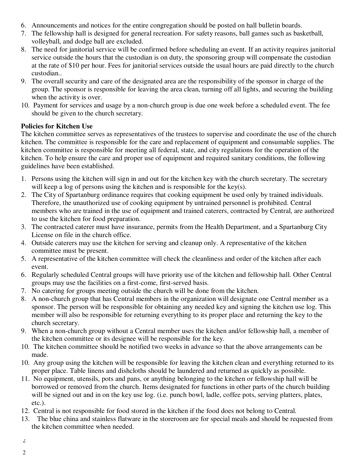- 6. Announcements and notices for the entire congregation should be posted on hall bulletin boards.
- 7. The fellowship hall is designed for general recreation. For safety reasons, ball games such as basketball, volleyball, and dodge ball are excluded.
- 8. The need for janitorial service will be confirmed before scheduling an event. If an activity requires janitorial service outside the hours that the custodian is on duty, the sponsoring group will compensate the custodian at the rate of \$10 per hour. Fees for janitorial services outside the usual hours are paid directly to the church custodian..
- 9. The overall security and care of the designated area are the responsibility of the sponsor in charge of the group. The sponsor is responsible for leaving the area clean, turning off all lights, and securing the building when the activity is over.
- 10. Payment for services and usage by a non-church group is due one week before a scheduled event. The fee should be given to the church secretary.

# **Policies for Kitchen Use**

The kitchen committee serves as representatives of the trustees to supervise and coordinate the use of the church kitchen. The committee is responsible for the care and replacement of equipment and consumable supplies. The kitchen committee is responsible for meeting all federal, state, and city regulations for the operation of the kitchen. To help ensure the care and proper use of equipment and required sanitary conditions, the following guidelines have been established.

- 1. Persons using the kitchen will sign in and out for the kitchen key with the church secretary. The secretary will keep a log of persons using the kitchen and is responsible for the key(s).
- 2. The City of Spartanburg ordinance requires that cooking equipment be used only by trained individuals. Therefore, the unauthorized use of cooking equipment by untrained personnel is prohibited. Central members who are trained in the use of equipment and trained caterers, contracted by Central, are authorized to use the kitchen for food preparation.
- 3. The contracted caterer must have insurance, permits from the Health Department, and a Spartanburg City License on file in the church office.
- 4. Outside caterers may use the kitchen for serving and cleanup only. A representative of the kitchen committee must be present.
- 5. A representative of the kitchen committee will check the cleanliness and order of the kitchen after each event.
- 6. Regularly scheduled Central groups will have priority use of the kitchen and fellowship hall. Other Central groups may use the facilities on a first-come, first-served basis.
- 7. No catering for groups meeting outside the church will be done from the kitchen.
- 8. A non-church group that has Central members in the organization will designate one Central member as a sponsor. The person will be responsible for obtaining any needed key and signing the kitchen use log. This member will also be responsible for returning everything to its proper place and returning the key to the church secretary.
- 9. When a non-church group without a Central member uses the kitchen and/or fellowship hall, a member of the kitchen committee or its designee will be responsible for the key.
- 10. The kitchen committee should be notified two weeks in advance so that the above arrangements can be made.
- 10. Any group using the kitchen will be responsible for leaving the kitchen clean and everything returned to its proper place. Table linens and dishcloths should be laundered and returned as quickly as possible.
- 11. No equipment, utensils, pots and pans, or anything belonging to the kitchen or fellowship hall will be borrowed or removed from the church. Items designated for functions in other parts of the church building will be signed out and in on the key use log. (i.e. punch bowl, ladle, coffee pots, serving platters, plates, etc.).
- 12. Central is not responsible for food stored in the kitchen if the food does not belong to Central.
- 13. The blue china and stainless flatware in the storeroom are for special meals and should be requested from the kitchen committee when needed.
- 2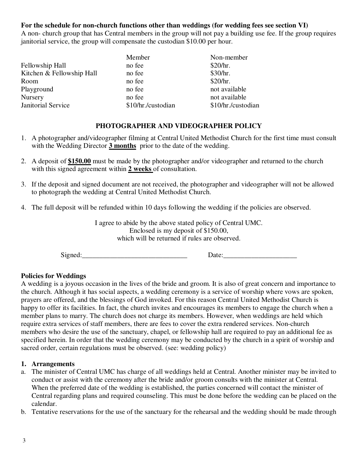# **For the schedule for non-church functions other than weddings (for wedding fees see section VI)**

A non- church group that has Central members in the group will not pay a building use fee. If the group requires janitorial service, the group will compensate the custodian \$10.00 per hour.

|                           | Member             | Non-member         |
|---------------------------|--------------------|--------------------|
| Fellowship Hall           | no fee             | \$20/hr.           |
| Kitchen & Fellowship Hall | no fee             | \$30/hr.           |
| Room                      | no fee             | \$20/hr.           |
| Playground                | no fee             | not available      |
| Nursery                   | no fee             | not available      |
| Janitorial Service        | \$10/hr./custodian | \$10/hr./custodian |

# **PHOTOGRAPHER AND VIDEOGRAPHER POLICY**

- 1. A photographer and/videographer filming at Central United Methodist Church for the first time must consult with the Wedding Director **3 months** prior to the date of the wedding.
- 2. A deposit of **\$150.00** must be made by the photographer and/or videographer and returned to the church with this signed agreement within **2 weeks** of consultation.
- 3. If the deposit and signed document are not received, the photographer and videographer will not be allowed to photograph the wedding at Central United Methodist Church.
- 4. The full deposit will be refunded within 10 days following the wedding if the policies are observed.

I agree to abide by the above stated policy of Central UMC. Enclosed is my deposit of \$150.00, which will be returned if rules are observed.

 $Signed:$ 

## **Policies for Weddings**

A wedding is a joyous occasion in the lives of the bride and groom. It is also of great concern and importance to the church. Although it has social aspects, a wedding ceremony is a service of worship where vows are spoken, prayers are offered, and the blessings of God invoked. For this reason Central United Methodist Church is happy to offer its facilities. In fact, the church invites and encourages its members to engage the church when a member plans to marry. The church does not charge its members. However, when weddings are held which require extra services of staff members, there are fees to cover the extra rendered services. Non-church members who desire the use of the sanctuary, chapel, or fellowship hall are required to pay an additional fee as specified herein. In order that the wedding ceremony may be conducted by the church in a spirit of worship and sacred order, certain regulations must be observed. (see: wedding policy)

## **1. Arrangements**

- a. The minister of Central UMC has charge of all weddings held at Central. Another minister may be invited to conduct or assist with the ceremony after the bride and/or groom consults with the minister at Central. When the preferred date of the wedding is established, the parties concerned will contact the minister of Central regarding plans and required counseling. This must be done before the wedding can be placed on the calendar.
- b. Tentative reservations for the use of the sanctuary for the rehearsal and the wedding should be made through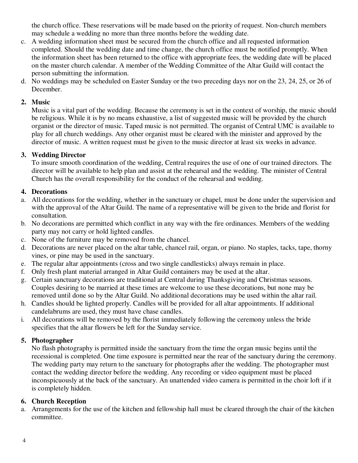the church office. These reservations will be made based on the priority of request. Non-church members may schedule a wedding no more than three months before the wedding date.

- c. A wedding information sheet must be secured from the church office and all requested information completed. Should the wedding date and time change, the church office must be notified promptly. When the information sheet has been returned to the office with appropriate fees, the wedding date will be placed on the master church calendar. A member of the Wedding Committee of the Altar Guild will contact the person submitting the information.
- d. No weddings may be scheduled on Easter Sunday or the two preceding days nor on the 23, 24, 25, or 26 of December.

## **2. Music**

Music is a vital part of the wedding. Because the ceremony is set in the context of worship, the music should be religious. While it is by no means exhaustive, a list of suggested music will be provided by the church organist or the director of music. Taped music is not permitted. The organist of Central UMC is available to play for all church weddings. Any other organist must be cleared with the minister and approved by the director of music. A written request must be given to the music director at least six weeks in advance.

# **3. Wedding Director**

 To insure smooth coordination of the wedding, Central requires the use of one of our trained directors. The director will be available to help plan and assist at the rehearsal and the wedding. The minister of Central Church has the overall responsibility for the conduct of the rehearsal and wedding.

# **4. Decorations**

- a. All decorations for the wedding, whether in the sanctuary or chapel, must be done under the supervision and with the approval of the Altar Guild. The name of a representative will be given to the bride and florist for consultation.
- b. No decorations are permitted which conflict in any way with the fire ordinances. Members of the wedding party may not carry or hold lighted candles.
- c. None of the furniture may be removed from the chancel.
- d. Decorations are never placed on the altar table, chancel rail, organ, or piano. No staples, tacks, tape, thorny vines, or pine may be used in the sanctuary.
- e. The regular altar appointments (cross and two single candlesticks) always remain in place.
- f. Only fresh plant material arranged in Altar Guild containers may be used at the altar.
- g. Certain sanctuary decorations are traditional at Central during Thanksgiving and Christmas seasons. Couples desiring to be married at these times are welcome to use these decorations, but none may be removed until done so by the Altar Guild. No additional decorations may be used within the altar rail.
- h. Candles should be lighted properly. Candles will be provided for all altar appointments. If additional candelabrums are used, they must have chase candles.
- i. All decorations will be removed by the florist immediately following the ceremony unless the bride specifies that the altar flowers be left for the Sunday service.

# **5. Photographer**

 No flash photography is permitted inside the sanctuary from the time the organ music begins until the recessional is completed. One time exposure is permitted near the rear of the sanctuary during the ceremony. The wedding party may return to the sanctuary for photographs after the wedding. The photographer must contact the wedding director before the wedding. Any recording or video equipment must be placed inconspicuously at the back of the sanctuary. An unattended video camera is permitted in the choir loft if it is completely hidden.

## **6. Church Reception**

a. Arrangements for the use of the kitchen and fellowship hall must be cleared through the chair of the kitchen committee.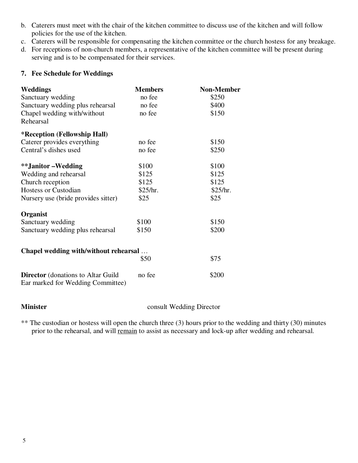- b. Caterers must meet with the chair of the kitchen committee to discuss use of the kitchen and will follow policies for the use of the kitchen.
- c. Caterers will be responsible for compensating the kitchen committee or the church hostess for any breakage.
- d. For receptions of non-church members, a representative of the kitchen committee will be present during serving and is to be compensated for their services.

#### **7. Fee Schedule for Weddings**

| <b>Weddings</b>                                                                | <b>Members</b> | <b>Non-Member</b> |
|--------------------------------------------------------------------------------|----------------|-------------------|
| Sanctuary wedding                                                              | no fee         | \$250             |
| Sanctuary wedding plus rehearsal                                               | no fee         | \$400             |
| Chapel wedding with/without                                                    | no fee         | \$150             |
| Rehearsal                                                                      |                |                   |
| <i>*</i> Reception (Fellowship Hall)                                           |                |                   |
| Caterer provides everything                                                    | no fee         | \$150             |
| Central's dishes used                                                          | no fee         | \$250             |
| **Janitor-Wedding                                                              | \$100          | \$100             |
| Wedding and rehearsal                                                          | \$125          | \$125             |
| Church reception                                                               | \$125          | \$125             |
| <b>Hostess or Custodian</b>                                                    | \$25/hr.       | \$25/hr.          |
| Nursery use (bride provides sitter)                                            | \$25           | \$25              |
| Organist                                                                       |                |                   |
| Sanctuary wedding                                                              | \$100          | \$150             |
| Sanctuary wedding plus rehearsal                                               | \$150          | \$200             |
| Chapel wedding with/without rehearsal                                          |                |                   |
|                                                                                | \$50           | \$75              |
| <b>Director</b> (donations to Altar Guild<br>Ear marked for Wedding Committee) | no fee         | \$200             |

**Minister consult Wedding Director** 

\*\* The custodian or hostess will open the church three (3) hours prior to the wedding and thirty (30) minutes prior to the rehearsal, and will remain to assist as necessary and lock-up after wedding and rehearsal.